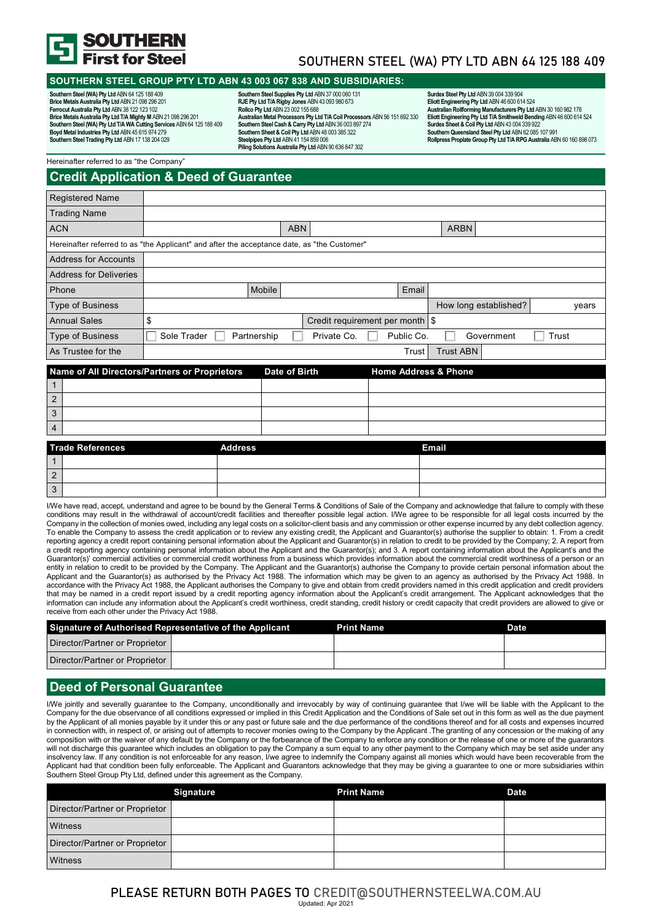

# SOUTHERN STEEL (WA) PTY LTD ABN 64 125 188 409

### **SOUTHERN STEEL GROUP PTY LTD ABN 43 003 067 838 AND SUBSIDIARIES:**

**Southern Steel (WA) Pty Ltd** ABN 64 125 188 409 **Brice Metals Australia Pty Ltd** ABN 21 098 296 201 Ferrocut Australia Pty Ltd ABN 38 122 123 102<br>Brice Metals Australia Pty Ltd T/A Mighty M ABN 21 098 296 201<br>Southern Steel (WA) Pty Ltd T/A WA Cutting Services ABN 64 125 188 409<br>Boyd Metal Industries Pty Ltd ABN 45 615 9 **Southern Steel Trading Pty Ltd** ABN 17 138 204 029

**Southern Steel Supplies Pty Ltd** ABN 37 000 060 131 **RJE Pty Ltd T/A Rigby Jones** ABN 43 093 980 673 **Rollco Pty Ltd** ABN 23 002 155 688 **Australian Metal Processors Pty Ltd T/A Coil Processors** ABN 56 151 692 330 **Southern Steel Cash & Carry Pty Ltd** ABN 36 003 897 274 **Southern Sheet & Coil Pty Ltd** ABN 48 003 385 322 **Steelpipes Pty Ltd** ABN 41 154 859 006 **Piling Solutions Australia Pty Ltd** ABN 90 636 847 302

**Surdex Steel Pty Ltd** ABN 39 004 339 904 **Eliott Engineering Pty Ltd** ABN 46 600 614 524 Australian Rollforming Manufacturers Pty Ltd ABN 30 160 982 178<br>Eliott Engineering Pty Ltd TA Smithweld Bending ABN 46 600 614 524<br>Surdex Sheet & Coil Pty Ltd ABN 43 004 339 922<br>Southern Queensland Steel Pty Ltd ABN 62 085 **Rollpress Proplate Group Pty Ltd T/A RPG Australia** ABN 60 160 898 073

Hereinafter referred to as "the Company"

# **Credit Application & Deed of Guarantee**

| <b>Registered Name</b>                                                                      |                            |            |                                   |            |                       |       |
|---------------------------------------------------------------------------------------------|----------------------------|------------|-----------------------------------|------------|-----------------------|-------|
| <b>Trading Name</b>                                                                         |                            |            |                                   |            |                       |       |
| <b>ACN</b>                                                                                  |                            | <b>ABN</b> |                                   |            | <b>ARBN</b>           |       |
| Hereinafter referred to as "the Applicant" and after the acceptance date, as "the Customer" |                            |            |                                   |            |                       |       |
| <b>Address for Accounts</b>                                                                 |                            |            |                                   |            |                       |       |
| <b>Address for Deliveries</b>                                                               |                            |            |                                   |            |                       |       |
| Phone                                                                                       |                            | Mobile     |                                   | Email      |                       |       |
| <b>Type of Business</b>                                                                     |                            |            |                                   |            | How long established? | years |
| <b>Annual Sales</b>                                                                         |                            |            | Credit requirement per month   \$ |            |                       |       |
| <b>Type of Business</b>                                                                     | Sole Trader<br>Partnership |            | Private Co.                       | Public Co. | Government            | Trust |
| As Trustee for the                                                                          |                            |            |                                   | Trust      | <b>Trust ABN</b>      |       |
|                                                                                             |                            |            |                                   |            |                       |       |

|           | Name of All Directors/Partners or Proprietors | Date of Birth | <b>Home Address &amp; Phone</b> |  |
|-----------|-----------------------------------------------|---------------|---------------------------------|--|
|           |                                               |               |                                 |  |
| $\vert$ 2 |                                               |               |                                 |  |
| $\vert$ 3 |                                               |               |                                 |  |
| $\vert$ 4 |                                               |               |                                 |  |
|           | Trade Deferences<br>Address                   |               | Email                           |  |

|   | <b>Trade References</b> | <b>Address</b> | <b>Email</b> |
|---|-------------------------|----------------|--------------|
|   |                         |                |              |
| 2 |                         |                |              |
| 3 |                         |                |              |

I/We have read, accept, understand and agree to be bound by the General Terms & Conditions of Sale of the Company and acknowledge that failure to comply with these conditions may result in the withdrawal of account/credit facilities and thereafter possible legal action. I/We agree to be responsible for all legal costs incurred by the Company in the collection of monies owed, including any legal costs on a solicitor-client basis and any commission or other expense incurred by any debt collection agency. To enable the Company to assess the credit application or to review any existing credit, the Applicant and Guarantor(s) authorise the supplier to obtain: 1. From a credit reporting agency a credit report containing personal information about the Applicant and Guarantor(s) in relation to credit to be provided by the Company; 2. A report from a credit reporting agency containing personal information about the Applicant and the Guarantor(s); and 3. A report containing information about the Applicant's and the Guarantor(s)' commercial activities or commercial credit worthiness from a business which provides information about the commercial credit worthiness of a person or an entity in relation to credit to be provided by the Company. The Applicant and the Guarantor(s) authorise the Company to provide certain personal information about the Applicant and the Guarantor(s) as authorised by the Privacy Act 1988. The information which may be given to an agency as authorised by the Privacy Act 1988. In accordance with the Privacy Act 1988, the Applicant authorises the Company to give and obtain from credit providers named in this credit application and credit providers that may be named in a credit report issued by a credit reporting agency information about the Applicant's credit arrangement. The Applicant acknowledges that the information can include any information about the Applicant's credit worthiness, credit standing, credit history or credit capacity that credit providers are allowed to give or receive from each other under the Privacy Act 1988.

| Signature of Authorised Representative of the Applicant | <b>Print Name</b> | <b>Date</b> |
|---------------------------------------------------------|-------------------|-------------|
| Director/Partner or Proprietor                          |                   |             |
| Director/Partner or Proprietor !                        |                   |             |

### **Deed of Personal Guarantee**

I/We jointly and severally guarantee to the Company, unconditionally and irrevocably by way of continuing guarantee that I/we will be liable with the Applicant to the Company for the due observance of all conditions expressed or implied in this Credit Application and the Conditions of Sale set out in this form as well as the due payment by the Applicant of all monies payable by it under this or any past or future sale and the due performance of the conditions thereof and for all costs and expenses incurred in connection with, in respect of, or arising out of attempts to recover monies owing to the Company by the Applicant .The granting of any concession or the making of any composition with or the waiver of any default by the Company or the forbearance of the Company to enforce any condition or the release of one or more of the guarantors will not discharge this guarantee which includes an obligation to pay the Company a sum equal to any other payment to the Company which may be set aside under any insolvency law. If any condition is not enforceable for any reason, I/we agree to indemnify the Company against all monies which would have been recoverable from the Applicant had that condition been fully enforceable. The Applicant and Guarantors acknowledge that they may be giving a guarantee to one or more subsidiaries within Southern Steel Group Pty Ltd, defined under this agreement as the Company.

|                                | <b>Signature</b> | <b>Print Name</b> | <b>Date</b> |
|--------------------------------|------------------|-------------------|-------------|
| Director/Partner or Proprietor |                  |                   |             |
| Witness                        |                  |                   |             |
| Director/Partner or Proprietor |                  |                   |             |
| Witness                        |                  |                   |             |